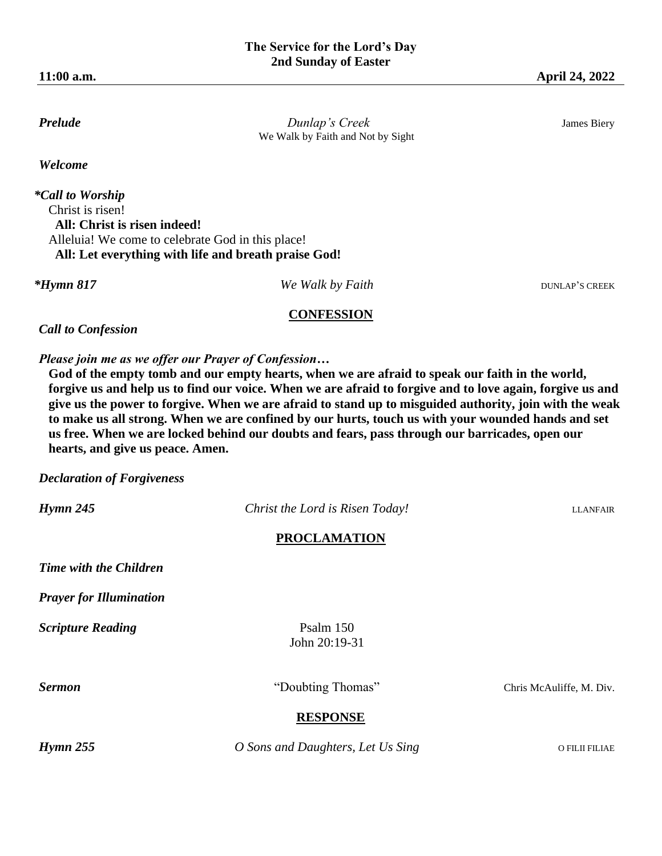**Prelude** *Dunlap's Creek**Dunlap's Creek* James Biery We Walk by Faith and Not by Sight

*Welcome*

*\*Call to Worship*  Christ is risen!  **All: Christ is risen indeed!**  Alleluia! We come to celebrate God in this place!  **All: Let everything with life and breath praise God!**

*\*Hymn 817* DUNLAP'S CREEK

### **CONFESSION**

*Call to Confession*

*Please join me as we offer our Prayer of Confession…* 

**God of the empty tomb and our empty hearts, when we are afraid to speak our faith in the world, forgive us and help us to find our voice. When we are afraid to forgive and to love again, forgive us and give us the power to forgive. When we are afraid to stand up to misguided authority, join with the weak to make us all strong. When we are confined by our hurts, touch us with your wounded hands and set us free. When we are locked behind our doubts and fears, pass through our barricades, open our hearts, and give us peace. Amen.**

*Declaration of Forgiveness*

*Hymn 245 Christ the Lord is Risen Today!* LLANFAIR

# **PROCLAMATION**

*Time with the Children*

*Prayer for Illumination*

**Scripture Reading** Psalm 150

John 20:19-31

**Sermon** "Doubting Thomas" Chris McAuliffe, M. Div.

# **RESPONSE**

*Hymn 255 O Sons and Daughters, Let Us Sing* O FILII FILIAE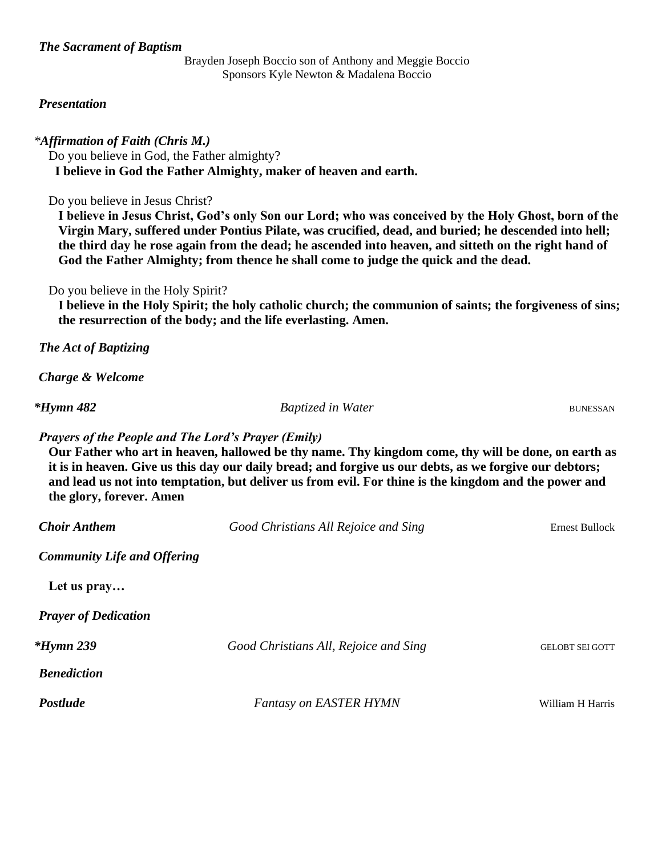# *The Sacrament of Baptism*

Brayden Joseph Boccio son of Anthony and Meggie Boccio Sponsors Kyle Newton & Madalena Boccio

### *Presentation*

### *\*Affirmation of Faith (Chris M.)*

Do you believe in God, the Father almighty?  **I believe in God the Father Almighty, maker of heaven and earth.**

Do you believe in Jesus Christ?

**I believe in Jesus Christ, God's only Son our Lord; who was conceived by the Holy Ghost, born of the Virgin Mary, suffered under Pontius Pilate, was crucified, dead, and buried; he descended into hell; the third day he rose again from the dead; he ascended into heaven, and sitteth on the right hand of God the Father Almighty; from thence he shall come to judge the quick and the dead.**

# Do you believe in the Holy Spirit?

**I believe in the Holy Spirit; the holy catholic church; the communion of saints; the forgiveness of sins; the resurrection of the body; and the life everlasting. Amen.** 

*The Act of Baptizing*

*Charge & Welcome*

*\*Hymn 482* Baptized in Water Bunessan

*Prayers of the People and The Lord's Prayer (Emily)*

**Our Father who art in heaven, hallowed be thy name. Thy kingdom come, thy will be done, on earth as it is in heaven. Give us this day our daily bread; and forgive us our debts, as we forgive our debtors; and lead us not into temptation, but deliver us from evil. For thine is the kingdom and the power and the glory, forever. Amen**

| <b>Choir Anthem</b>                | Good Christians All Rejoice and Sing  | <b>Ernest Bullock</b>  |
|------------------------------------|---------------------------------------|------------------------|
| <b>Community Life and Offering</b> |                                       |                        |
| Let us pray                        |                                       |                        |
| <b>Prayer of Dedication</b>        |                                       |                        |
| <i><b>*Hymn 239</b></i>            | Good Christians All, Rejoice and Sing | <b>GELOBT SEI GOTT</b> |
| <b>Benediction</b>                 |                                       |                        |
| <b>Postlude</b>                    | <b>Fantasy on EASTER HYMN</b>         | William H Harris       |